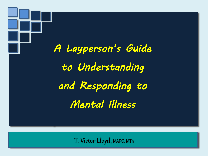

T. Victor Lloyd, MAPC, MTh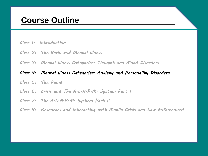### **Course Outline**

#### *Class 1: Introduction*

- *Class 2: The Brain and Mental Illness*
- *Class 3: Mental Illness Categories: Thought and Mood Disorders*

#### *Class 4: Mental Illness Categories: Anxiety and Personality Disorders*

- *Class 5: The Panel*
- *Class 6: Crisis and The A.L.A.R.M. System Part I*
- *Class 7: The A.L.A.R.M. System Part II*
- *Class 8: Resources and Interacting with Mobile Crisis and Law Enforcement*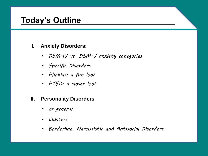### **Today's Outline**

### **I. Anxiety Disorders:**

- *DSM-IV vs. DSM-V anxiety categories*
- *Specific Disorders*
- *Phobias: a fun look*
- *PTSD: a closer look*

#### **II. Personality Disorders**

- *In general*
- *Clusters*
- *Borderline, Narcissistic and Antisocial Disorders*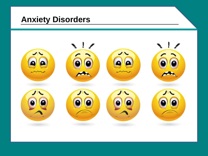### **Anxiety Disorders**

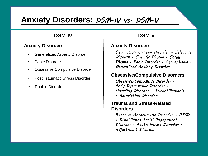### **Anxiety Disorders: DSM-IV vs. DSM-V**

| <b>DSM-IV</b>                                                                                                                                                                                                                            | <b>DSM-V</b>                                                                                                                                                                                                                                                                                                                                                                                                                                                                                                                        |
|------------------------------------------------------------------------------------------------------------------------------------------------------------------------------------------------------------------------------------------|-------------------------------------------------------------------------------------------------------------------------------------------------------------------------------------------------------------------------------------------------------------------------------------------------------------------------------------------------------------------------------------------------------------------------------------------------------------------------------------------------------------------------------------|
| <b>Anxiety Disorders</b>                                                                                                                                                                                                                 | <b>Anxiety Disorders</b>                                                                                                                                                                                                                                                                                                                                                                                                                                                                                                            |
| <b>Generalized Anxiety Disorder</b><br>$\bullet$<br><b>Panic Disorder</b><br>$\bullet$<br><b>Obsessive/Compulsive Disorder</b><br>$\bullet$<br><b>Post Traumatic Stress Disorder</b><br>$\bullet$<br><b>Phobic Disorder</b><br>$\bullet$ | Separation Anxiety Disorder • Selective<br>Mutism • Specific Phobia • Social<br>Phobia • Panic Disorder • Agoraphobia •<br>Generalized Anxiety Disorder<br><b>Obsessive/Compulsive Disorders</b><br>Obsessive/Compulsive Disorder •<br>Body Dysmorphic Disorder .<br>Hoarding Disorder • Trichotillomania<br>• Excoriation Disorder<br><b>Trauma and Stress-Related</b><br><b>Disorders</b><br>Reactive Attachment Disorder • PTSD<br>• Disinhibited Social Engagement<br>Disorder • Acute Stress Disorder •<br>Adjustment Disorder |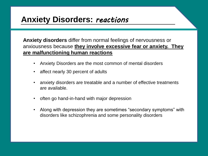### **Anxiety Disorders:** *reactions*

**Anxiety disorders** differ from normal feelings of nervousness or anxiousness because **they involve excessive fear or anxiety. They are malfunctioning human reactions**

- Anxiety Disorders are the most common of mental disorders
- affect nearly 30 percent of adults
- anxiety disorders are treatable and a number of effective treatments are available.
- often go hand-in-hand with major depression
- Along with depression they are sometimes "secondary symptoms" with disorders like schizophrenia and some personality disorders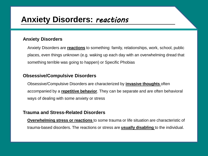### **Anxiety Disorders:** *reactions*

#### **Anxiety Disorders**

Anxiety Disorders are **reactions** to something: family, relationships, work, school, public places, even things unknown (e.g. waking up each day with an overwhelming dread that something terrible was going to happen) or Specific Phobias

#### **Obsessive/Compulsive Disorders**

Obsessive/Compulsive Disorders are characterized by **invasive thoughts** often accompanied by a **repetitive behavior**. They can be separate and are often behavioral ways of dealing with some anxiety or stress

#### **Trauma and Stress-Related Disorders**

**Overwhelming stress or reactions** to some trauma or life situation are characteristic of trauma-based disorders. The reactions or stress are **usually disabling** to the individual.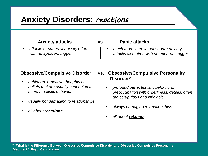### **Anxiety Disorders:** *reactions*

• *attacks or states of anxiety often with no apparent trigger*

#### **Anxiety attacks vs. Panic attacks**

• *much more intense but shorter anxiety attacks also often with no apparent trigger*

- *unbidden, repetitive thoughts or beliefs that are usually connected to some ritualistic behavior*
- *usually not damaging to relationships*
- *all about reactions*

#### **Obsessive/Compulsive Disorder vs. Obsessive/Compulsive Personality Disorder\***

- *profound perfectionistic behaviors; preoccupation with orderliness, details, often are scrupulous and inflexible*
- *always damaging to relationships*
- *all about relating*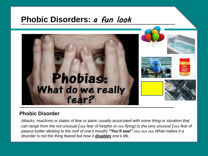### **Phobic Disorders:** *a fun look*



#### **Phobic Disorder**

*Attacks, reactions or states of fear or panic usually associated with some thing or situation that can range from the not unusual (*click *fear of heights or* click *flying) to the very unusual (*click *fear of peanut butter sticking to the roof of one's mouth) "You'll see!"* click click click *What makes it a disorder is not the thing feared but how it disables one's life.*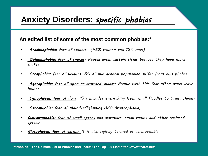### **Anxiety Disorders:** *specific phobias*

#### **An edited list of some of the most common phobias:\***

- *[Arachnophobia: fear of spiders](https://www.fearof.net/fear-of-spiders-phobia-arachnophobia/) (48% women and 12% men).*
- *[Ophidiophobia: fear of snakes.](https://www.fearof.net/fear-of-snakes-phobia-ophidiophobia/) People avoid certain cities because they have more snakes.*
- *[Acrophobia: fear of heights.](https://www.fearof.net/fear-of-heights-phobia-acrophobia/) 5% of the general population suffer from this phobia.*
- *[Agoraphobia: fear of open or crowded spaces.](https://www.fearof.net/fear-of-open-or-crowded-spaces-phobia-agoraphobia/) People with this fear often wont leave home.*
- *[Cynophobia: fear of dogs.](https://www.fearof.net/fear-of-dogs-phobia-cynophobia/) This includes everything from small Poodles to Great Danes.*
- *[Astraphobia: fear of thunder/lightning](https://www.fearof.net/fear-of-thunder-and-lightning-phobia-astraphobia/) AKA Brontophobia,*
- *[Claustrophobia: fear of small spaces](https://www.fearof.net/fear-of-small-spaces-phobia-claustrophobia/) like elevators, small rooms and other enclosed spaces.*
- *[Mysophobia: fear of germs.](https://www.fearof.net/fear-of-germs-phobia-mysophobia/) It is also rightly termed as germophobia*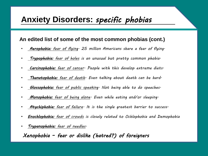### **Anxiety Disorders:** *specific phobias*

#### **An edited list of some of the most common phobias (cont.)**

- *Aerophobia: [fear of flying](https://www.fearof.net/fear-of-flying-phobia-aerophobia/). 25 million Americans share a fear of flying.*
- *[Trypophobia: fear of holes](https://www.fearof.net/fear-of-holes-phobia-trypophobia/) is an unusual but pretty common phobia.*
- *[Carcinophobia: fear of cancer.](https://www.fearof.net/fear-of-cancer-phobia-carcinophobia/) People with this develop extreme diets.*
- *[Thanatophobia: fear of death.](https://www.fearof.net/fear-of-death-phobia-thanatophobia/) Even talking about death can be hard.*
- *[Glossophobia: fear of public speaking](https://www.fearof.net/fear-of-public-speaking-phobia-glossophobia/). Not being able to do speeches.*
- *[Monophobia: fear of being alone.](https://www.fearof.net/fear-of-being-alone-phobia-monophobia/) Even while eating and/or sleeping.*
- *[Atychiphobia: fear of failure](https://www.fearof.net/fear-of-failure-phobia-atychiphobia/). It is the single greatest barrier to success.*
- *[Enochlophobia: fear of crowds](https://www.fearof.net/fear-of-crowds-phobia-enochlophobia/) is closely related to Ochlophobia and Demophobia*
- *[Trypanophobia: fear of needles.](https://www.fearof.net/fear-of-needles-phobia-trypanophobia/)*

#### *Xenophobia – fear or dislike (hatred?) of foreigners*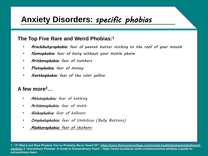### **Anxiety Disorders:** *specific phobias*

#### **The Top Five Rare and Weird Phobias:<sup>1</sup>**

- *Arachibutyrophobia: fear of peanut butter sticking to the roof of your mouth*
- *Nomophobia: fear of being without your mobile phone*
- *Arithmophobia: fear of numbers*
- *Plutophobia: fear of money*
- *Xanthophobia: fear of the color yellow*

#### **A few more<sup>2</sup>…**

- *Ablutophobia: fear of bathing*
- *Arithmophobia: fear of math.*
- *Globophobia: fear of balloons*
- *Omphalophobia: fear of Umbilicus (Belly Buttons)*
- *[Alektorophobia: fear of chickens.](https://www.fearof.net/fear-of-chickens-phobia-alektorophobia/)*

**[1. "21 Weird and Rare Phobias You've Probably Never Heard Of"; https://www.therecoveryvillage.com/mental-health/phobias/related/weird](https://www.therecoveryvillage.com/mental-health/phobias/related/weird-phobias/)phobias/ 2."Uncommon Phobias: A Guide to Extraordinary Fears"; https://www.louislaves-webb.com/uncommon-phobias-a-guide-toextraordinary-fears**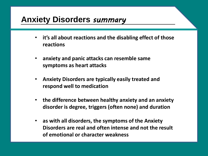### **Anxiety Disorders** *summary*

- **it's all about reactions and the disabling effect of those reactions**
- **anxiety and panic attacks can resemble same symptoms as heart attacks**
- **Anxiety Disorders are typically easily treated and respond well to medication**
- **the difference between healthy anxiety and an anxiety disorder is degree, triggers (often none) and duration**
- **as with all disorders, the symptoms of the Anxiety Disorders are real and often intense and not the result of emotional or character weakness**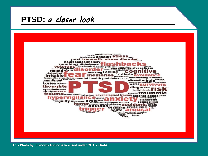### **PTSD:** *a closer look*



**[This Photo](https://fishofgold.net/2013/09/25/ptsd-me/) by Unknown Author is licensed under [CC BY-SA-NC](https://creativecommons.org/licenses/by-nc-sa/3.0/)**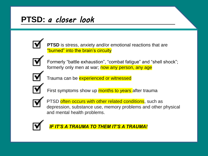## **PTSD:** *a closer look*



**PTSD** is stress, anxiety and/or emotional reactions that are "burned" into the brain's circuity



Formerly "battle exhaustion", "combat fatigue" and "shell shock"; formerly only men at war; now any person, any age



Trauma can be **experienced or witnessed** 



First symptoms show up **months to years** after trauma



PTSD often occurs with other related conditions, such as depression, substance use, memory problems and other physical and mental health problems.



*IF IT'S A TRAUMA TO THEM IT'S A TRAUMA!*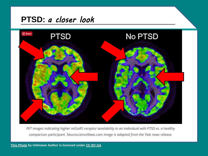### **PTSD:** *a closer look*



PET images indicating higher mGluR5 receptor availability in an individual with PTSD vs. a healthy comparison participant. NeuroscienceNews.com image is adapted from the Yale news release.

**[This Photo](http://www.combatptsdwoundedtimes.org/2017/07/ptsd-hear-it-to-see-it.html) by Unknown Author is licensed under [CC BY-SA](https://creativecommons.org/licenses/by-sa/3.0/)**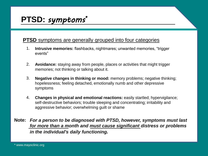### **PTSD:** *symptoms\**

#### **PTSD** symptoms are generally grouped into four categories

- 1. **Intrusive memories:** flashbacks, nightmares; unwanted memories, "trigger events"
- **Avoidance:** staying away from people, places or activities that might trigger memories; not thinking or talking about it. 2.
- **Negative changes in thinking or mood:** memory problems; negative thinking; hopelessness; feeling detached, emotionally numb and other depressive symptoms 3.
- **Changes in physical and emotional reactions:** easily startled; hypervigilance; self-destructive behaviors; trouble sleeping and concentrating; irritability and aggressive behavior; overwhelming guilt or shame 4.
- *For a person to be diagnosed with PTSD, however, symptoms must last*  **Note:***for more than a month and must cause significant distress or problems in the individual's daily functioning.*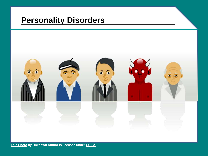### **Personality Disorders**



**[This Photo](https://courses.lumenlearning.com/wm-abnormalpsych/chapter/personality-disorders/) by Unknown Author is licensed under [CC BY](https://creativecommons.org/licenses/by/3.0/)**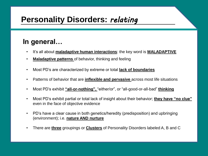### **In general…**

- It's all about **maladaptive human interactions**: the key word is **MALADAPTIVE**
- **Maladaptive patterns** of behavior, thinking and feeling
- Most PD's are characterized by extreme or total **lack of boundaries**
- Patterns of behavior that are **inflexible and pervasive** across most life situations
- Most PD's exhibit **"all-or-nothing",** "either/or", or "all-good-or-all-bad" **thinking**
- Most PD's exhibit partial or total lack of insight about their behavior; **they have "no clue"**  even in the face of objective evidence
- PD's have a clear cause in both genetics/heredity (predisposition) and upbringing (environment); i.e. **nature AND nurture**
- There are **three** groupings or **Clusters** of Personality Disorders labeled A, B and C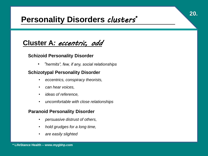## **Personality Disorders** *clusters\**

### **Cluster A***: eccentric, odd*

#### **Schizoid Personality Disorder**

• *"hermits", few, if any, social relationships*

#### **Schizotypal Personality Disorder**

- *eccentrics, conspiracy theorists,*
- *can hear voices,*
- *ideas of reference,*
- *uncomfortable with close relationships*

#### **Paranoid Personality Disorder**

- *persuasive distrust of others,*
- *hold grudges for a long time,*
- *are easily slighted*

**20.**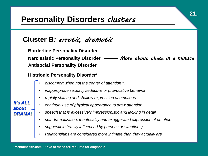### **Personality Disorders** *clusters*

### **Cluster B***: erratic, dramatic*

**Borderline Personality Disorder Narcissistic Personality Disorder Antisocial Personality Disorder** *More about these in a minute*

#### **Histrionic Personality Disorder\***

- *discomfort when not the center of attention\*\*,*
- *inappropriate sexually seductive or provocative behavior*
- *rapidly shifting and shallow expression of emotions*
- *continual use of physical appearance to draw attention*
- *speech that is excessively impressionistic and lacking in detail*
- *self-dramatization, theatricality and exaggerated expression of emotion*
- *suggestible (easily influenced by persons or situations)*
- *Relationships are considered more intimate than they actually are*

*It's ALL about DRAMA***!**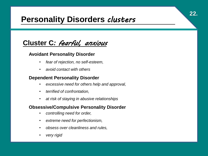### **Personality Disorders** *clusters*

**22.**

### **Cluster C***: fearful, anxious*

#### **Avoidant Personality Disorder**

- *fear of rejection, no self-esteem,*
- *avoid contact with others*

#### **Dependent Personality Disorder**

- *excessive need for others help and approval,*
- *terrified of confrontation,*
- *at risk of staying in abusive relationships*

#### **Obsessive/Compulsive Personality Disorder**

- *controlling need for order,*
- *extreme need for perfectionism,*
- *obsess over cleanliness and rules,*
- *very rigid*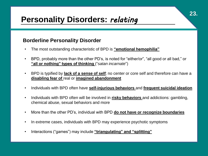#### **Borderline Personality Disorder**

- The most outstanding characteristic of BPD is **"emotional hemophilia"**
- BPD, probably more than the other PD's, is noted for "either/or", "all good or all bad," or **"all or nothing" types of thinking** ("*satan incarnate*")
- BPD is typified by **lack of a sense of self**; no center or core self and therefore can have a **disabling fear of** real or **imagined abandonment**
- Individuals with BPD often have **self-injurious behaviors** and **frequent suicidal ideation**
- Individuals with BPD often will be involved in **risky behaviors** and addictions: gambling, chemical abuse, sexual behaviors and more
- More than the other PD's, individual with BPD **do not have or recognize boundaries**
- In extreme cases, individuals with BPD may experience psychotic symptoms
- Interactions ("games") may include **"triangulating" and "splitting"**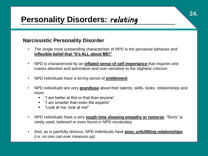#### **Narcissistic Personality Disorder**

- The single most outstanding characteristic of NPD is the pervasive behavior and **inflexible belief that "It's ALL about ME!"**
- NPD is characterized by an **inflated sense of self importance** that requires and craves attention and admiration and over-sensitive to the slightest criticism
- NPD individuals have a strong sense of **entitlement**
- NPD individuals are very **grandiose** about their talents, skills, looks, relationships and more:
	- "I am better at this or that than anyone"
	- "I am smarter than even the experts"
	- "Look at me, look at me!"
- NPD individuals have a very **tough time showing empathy or remorse**. "Sorry" is rarely used, believed or even found in NPD vocabulary
- And, as is painfully obvious, NPD individuals have **poor, unfulfilling relationships** (i.e. no one can ever measure up)

**24.**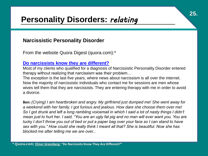#### **Narcissistic Personality Disorder**

From the website Quora Digest (quora.com):\*

#### **[Do narcissists know they are different?](https://www.quora.com/Do-narcissists-know-they-are-different)**

Most of my clients who qualified for a diagnosis of Narcissistic Personality Disorder entered therapy without realizing that narcissism was their problem…

**25.**

The exception is the last five years, where news about narcissism is all over the internet. Now the majority of narcissistic individuals who contact me for sessions are men whose wives tell them that they are narcissists. They are entering therapy with me in order to avoid a divorce.

**Ben:** *(Crying) I am heartbroken and angry. My girlfriend just dumped me! She went away for a weekend with her family. I got furious and jealous. How dare she choose them over me! So I got drunk and left a long rambling voicemail in which I said a lot of nasty things I didn't mean just to hurt her. I said, "You are an ugly fat pig and no man will ever want you. You are lucky I don't throw you out of bed or put a paper bag over your face so I can stand to have sex with you." How could she really think I meant all that? She is beautiful. Now she has blocked me after telling me we are over.*.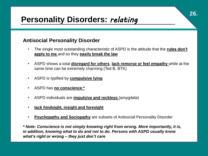#### **Antisocial Personality Disorder**

- The single most outstanding characteristic of ASPD is the attitude that the **rules don't apply to me** and so they **easily break the law**
- ASPD shows a total **disregard for others**, **lack remorse or feel empathy** while at the same time can be extremely charming (Ted B, BTK)
- ASPD is typified by **compulsive lying**
- ASPD has **no conscience \***
- ASPD individuals are **impulsive and reckless** (amygdala)
- **lack hindsight, insight and foresight**
- **Psychopathy and Sociopathy** are subsets of Antisocial Personality Disorder

*\* Note: Conscience is not simply knowing right from wrong. More importantly, it is, in addition, knowing what to do and not to do. Persons with ASPD usually know what's right or wrong – they just don't care*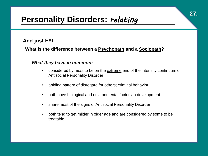### **And just FYI…**

#### **What is the difference between a Psychopath and a Sociopath?**

#### *What they have in common:*

- considered by most to be on the extreme end of the intensity continuum of Antisocial Personality Disorder
- abiding pattern of disregard for others; criminal behavior
- both have biological and environmental factors in development
- share most of the signs of Antisocial Personality Disorder
- both tend to get milder in older age and are considered by some to be treatable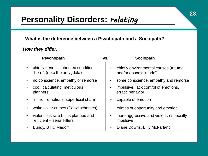#### **What is the difference between a Psychopath and a Sociopath?**

#### *How they differ:*

| <b>Psychopath</b>                                                    | VS.       | <b>Sociopath</b>                                              |
|----------------------------------------------------------------------|-----------|---------------------------------------------------------------|
| chiefly genetic, inherited condition;<br>"born"; (note the amygdala) |           | chiefly environmental causes (trauma<br>and/or abuse); "made" |
| no conscience, empathy or remorse<br>$\bullet$                       |           | some conscience, empathy and remorse                          |
| cool, calculating, meticulous<br>planners                            |           | impulsive; lack control of emotions,<br>erratic behavior      |
| "mirror" emotions; superficial charm                                 |           | capable of emotion                                            |
| white collar crimes (Ponzi schemes)                                  |           | crimes of opportunity and emotion                             |
| violence is rare but is planned and<br>"efficient – serial killers   |           | more aggressive and violent, especially<br>impulsive          |
| Bundy, BTK, Madoff<br>$\bullet$                                      | $\bullet$ | Diane Downs, Billy McFarland                                  |
|                                                                      |           |                                                               |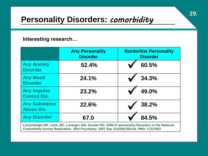## **Personality Disorders:** *comorbidity*

#### **Interesting research…**

|                                                                                                                                                                                             | <b>Any Personality</b><br><b>Disorder</b> | <b>Borderline Personality</b><br><b>Disorder</b> |
|---------------------------------------------------------------------------------------------------------------------------------------------------------------------------------------------|-------------------------------------------|--------------------------------------------------|
| <b>Any Anxiety</b><br><b>Disorder</b>                                                                                                                                                       | 52.4%                                     | 60.5%                                            |
| <b>Any Mood</b><br><b>Disorder</b>                                                                                                                                                          | 24.1%                                     | 34.3%                                            |
| <b>Any Impulse</b><br><b>Control Dis.</b>                                                                                                                                                   | 23.2%                                     | 49.0%                                            |
| <b>Any Substance</b><br><b>Abuse Dis.</b>                                                                                                                                                   | 22.6%                                     | 38.2%                                            |
| <b>Any Disorder</b>                                                                                                                                                                         | 67.0                                      | 84.5%                                            |
| Lenzenweger MF, Lane, MC, Loranger AW, Kessler RC. DSM-IV personality Disorders in the National<br>Comorbidity Survey Replication. Biol Psychiatry. 2007 Sep 15;62(6):553-64. PMD: 17217923 |                                           |                                                  |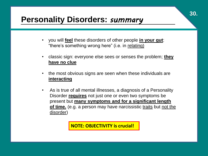### **Personality Disorders:** *summary*

- you will **feel** these disorders of other people **in your gut**: "there's something wrong here" (i.e. in relating)
- classic sign: everyone else sees or senses the problem; **they have no clue**
- the most obvious signs are seen when these individuals are **interacting**
- As is true of all mental illnesses, a diagnosis of a Personality Disorder **requires** not just one or even two symptoms be present but **many symptoms and for a significant length of time.** (e.g. a person may have narcissistic traits but not the disorder)

**NOTE: OBJECTIVITY is crucial!**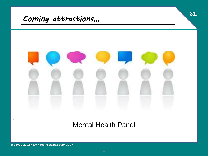

### Mental Health Panel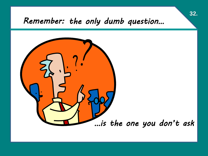### *Remember: the only dumb question…*